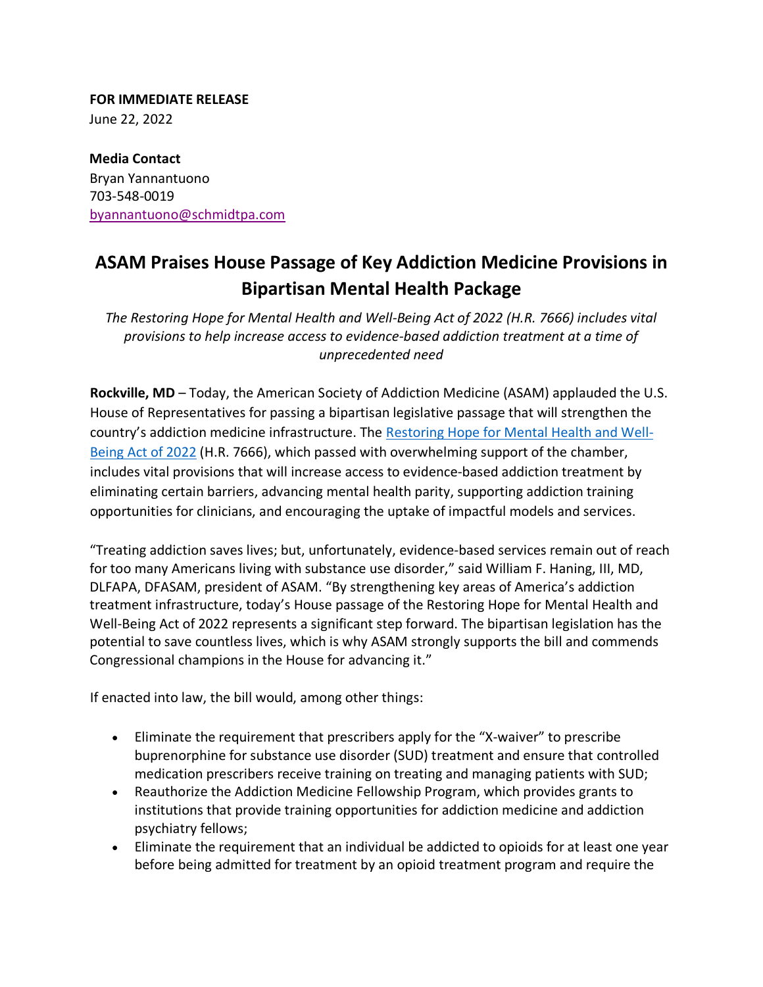**FOR IMMEDIATE RELEASE**  June 22, 2022

**Media Contact**  Bryan Yannantuono 703-548-0019 [byannantuono@schmidtpa.com](mailto:byannantuono@schmidtpa.com)

## **ASAM Praises House Passage of Key Addiction Medicine Provisions in Bipartisan Mental Health Package**

*The Restoring Hope for Mental Health and Well-Being Act of 2022 (H.R. 7666) includes vital provisions to help increase access to evidence-based addiction treatment at a time of unprecedented need*

**Rockville, MD** – Today, the American Society of Addiction Medicine (ASAM) applauded the U.S. House of Representatives for passing a bipartisan legislative passage that will strengthen the country's addiction medicine infrastructure. The [Restoring Hope for Mental Health and Well-](https://www.congress.gov/bill/117th-congress/house-bill/7666)[Being Act of 2022](https://www.congress.gov/bill/117th-congress/house-bill/7666) (H.R. 7666), which passed with overwhelming support of the chamber, includes vital provisions that will increase access to evidence-based addiction treatment by eliminating certain barriers, advancing mental health parity, supporting addiction training opportunities for clinicians, and encouraging the uptake of impactful models and services.

"Treating addiction saves lives; but, unfortunately, evidence-based services remain out of reach for too many Americans living with substance use disorder," said William F. Haning, III, MD, DLFAPA, DFASAM, president of ASAM. "By strengthening key areas of America's addiction treatment infrastructure, today's House passage of the Restoring Hope for Mental Health and Well-Being Act of 2022 represents a significant step forward. The bipartisan legislation has the potential to save countless lives, which is why ASAM strongly supports the bill and commends Congressional champions in the House for advancing it."

If enacted into law, the bill would, among other things:

- Eliminate the requirement that prescribers apply for the "X-waiver" to prescribe buprenorphine for substance use disorder (SUD) treatment and ensure that controlled medication prescribers receive training on treating and managing patients with SUD;
- Reauthorize the Addiction Medicine Fellowship Program, which provides grants to institutions that provide training opportunities for addiction medicine and addiction psychiatry fellows;
- Eliminate the requirement that an individual be addicted to opioids for at least one year before being admitted for treatment by an opioid treatment program and require the